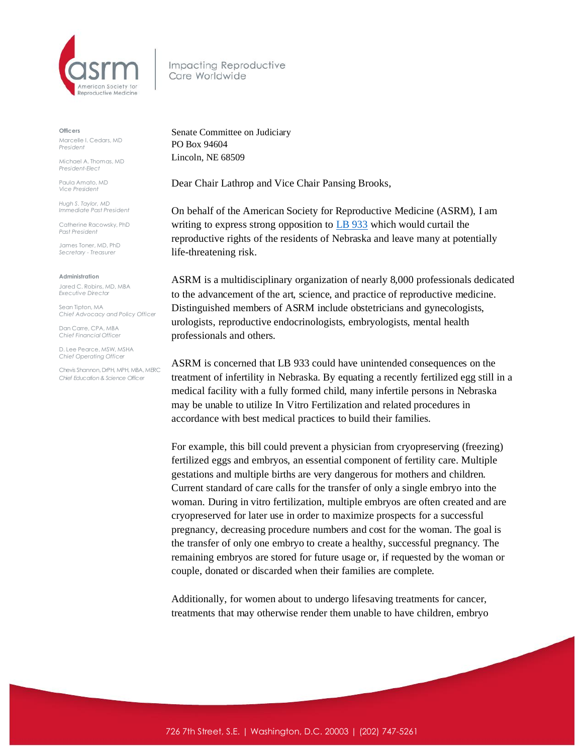

Impacting Reproductive Care Worldwide

## **Officers**

Marcelle I. Cedars, MD *President*

Michael A. Thomas, MD *President-Elect*

Paula Amato, MD *Vice President*

*Hugh S. Taylor, MD Immediate Past President*

Catherine Racowsky, PhD *Past President*

James Toner, MD, PhD *Secretary - Treasurer* 

## **Administration**

Jared C. Robins, MD, MBA *Executive Director*

Sean Tipton, MA *Chief Advocacy and Policy Officer*

Dan Carre, CPA, MBA *Chief Financial Officer*

D. Lee Pearce, MSW, MSHA *Chief Operating Officer* 

Chevis Shannon, DrPH, MPH, MBA, MERC *Chief Education & Science Officer*

Senate Committee on Judiciary PO Box 94604 Lincoln, NE 68509

Dear Chair Lathrop and Vice Chair Pansing Brooks,

On behalf of the American Society for Reproductive Medicine (ASRM), I am writing to express strong opposition to **[LB 933](https://s3.amazonaws.com/fn-document-service/file-by-sha384/b9e392af409662f016e34345cd9a6ed6206af1c3ef5e7540d0f82460e9667cc77509c664dcc84b334d7118bc5ec974eb)** which would curtail the reproductive rights of the residents of Nebraska and leave many at potentially life-threatening risk.

ASRM is a multidisciplinary organization of nearly 8,000 professionals dedicated to the advancement of the art, science, and practice of reproductive medicine. Distinguished members of ASRM include obstetricians and gynecologists, urologists, reproductive endocrinologists, embryologists, mental health professionals and others.

ASRM is concerned that LB 933 could have unintended consequences on the treatment of infertility in Nebraska. By equating a recently fertilized egg still in a medical facility with a fully formed child, many infertile persons in Nebraska may be unable to utilize In Vitro Fertilization and related procedures in accordance with best medical practices to build their families.

For example, this bill could prevent a physician from cryopreserving (freezing) fertilized eggs and embryos, an essential component of fertility care. Multiple gestations and multiple births are very dangerous for mothers and children. Current standard of care calls for the transfer of only a single embryo into the woman. During in vitro fertilization, multiple embryos are often created and are cryopreserved for later use in order to maximize prospects for a successful pregnancy, decreasing procedure numbers and cost for the woman. The goal is the transfer of only one embryo to create a healthy, successful pregnancy. The remaining embryos are stored for future usage or, if requested by the woman or couple, donated or discarded when their families are complete.

Additionally, for women about to undergo lifesaving treatments for cancer, treatments that may otherwise render them unable to have children, embryo